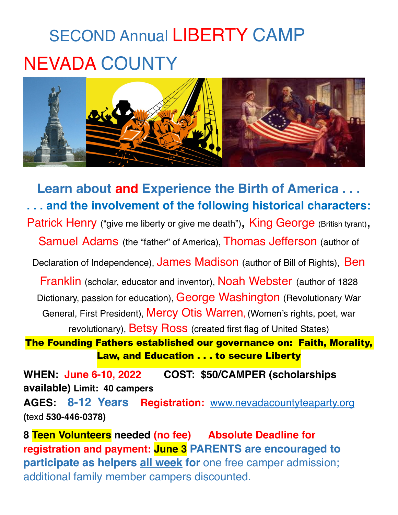## SECOND Annual LIBERTY CAMP NEVADA COUNTY



**Learn about and Experience the Birth of America . . . . . . and the involvement of the following historical characters:** Patrick Henry ("give me liberty or give me death"), King George (British tyrant), Samuel Adams (the "father" of America), Thomas Jefferson (author of Declaration of Independence), James Madison (author of Bill of Rights), Ben Franklin (scholar, educator and inventor), Noah Webster (author of 1828 Dictionary, passion for education), George Washington (Revolutionary War General, First President), Mercy Otis Warren**,** (Women's rights, poet, war revolutionary), Betsy Ross (created first flag of United States) The Founding Fathers established our governance on: Faith, Morality, Law, and Education . . . to secure Liberty

**WHEN: June 6-10, 2022 COST: \$50/CAMPER (scholarships available) Limit: 40 campers**

**AGES: 8-12 Years Registration:** [www.nevadacountyteaparty.org](http://www.nevadacountyteaparty.org) **(**texd **530-446-0378)** 

**8 Teen Volunteers needed (no fee) Absolute Deadline for registration and payment: June 3 PARENTS are encouraged to participate as helpers all week for** one free camper admission; additional family member campers discounted.